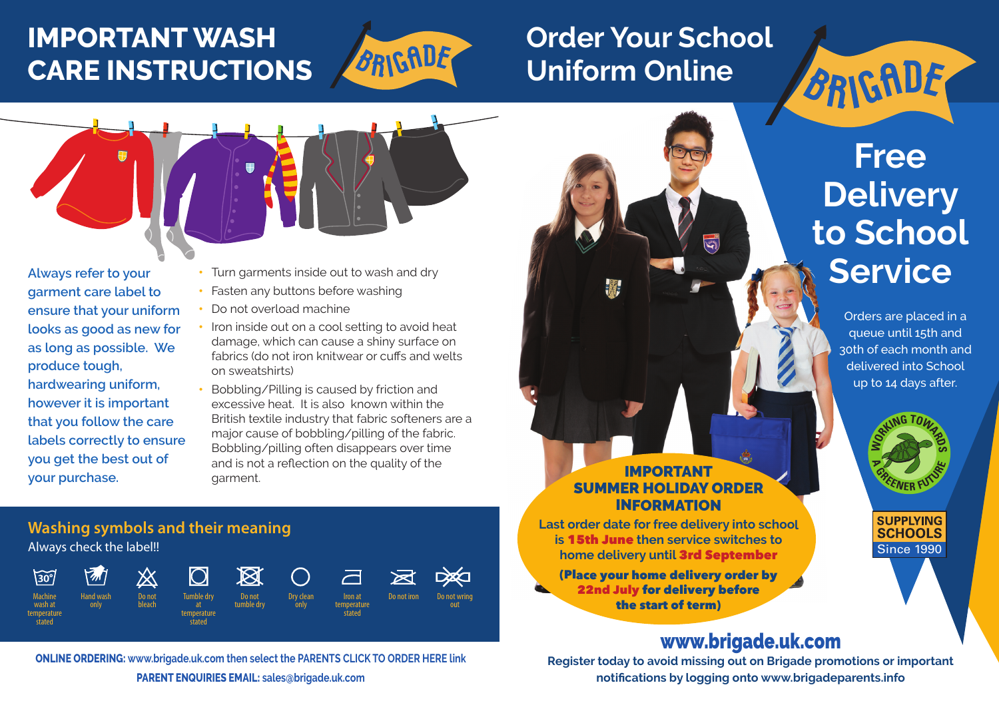# **IMPORTANT WASH CARE INSTRUCTIONS**



# **Order Your School Uniform Online**



**Always refer to your garment care label to ensure that your uniform looks as good as new for as long as possible. We produce tough, hardwearing uniform, however it is important that you follow the care labels correctly to ensure you get the best out of your purchase.** 

- Turn garments inside out to wash and dry
- Fasten any buttons before washing
- Do not overload machine
- Iron inside out on a cool setting to avoid heat damage, which can cause a shiny surface on fabrics (do not iron knitwear or cuffs and welts on sweatshirts)
- Bobbling/Pilling is caused by friction and excessive heat. It is also known within the British textile industry that fabric softeners are a major cause of bobbling/pilling of the fabric. Bobbling/pilling often disappears over time and is not a reflection on the quality of the garment.

## **Washing symbols and their meaning** Always check the label!!



**ONLINE ORDERING: www.brigade.uk.com then select the PARENTS CLICK TO ORDER HERE link** 

**PARENT ENQUIRIES EMAIL: sales@brigade.uk.com**

### IMPORTANT SUMMER HOLIDAY ORDER INFORMATION

**KANA** 

**Last order date for free delivery into school is** 15th June **then service switches to home delivery until** 3rd September

(Place your home delivery order by 22nd July for delivery before the start of term)

# www.brigade.uk.com

**Register today to avoid missing out on Brigade promotions or important notifications by logging onto www.brigadeparents.info**

# **Free Delivery to School Service**

BRIGADE

Orders are placed in a queue until 15th and 30th of each month and delivered into School up to 14 days after.



#### **SUPPLYING SCHOOLS** Since 1990